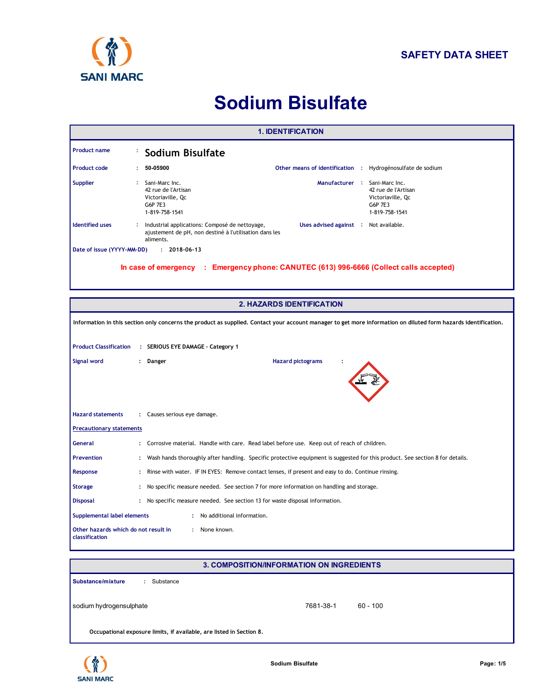

# **Sodium Bisulfate**

| <b>1. IDENTIFICATION</b>                                                |                                                                                                                                    |                                                                                                                                                                                                   |  |  |  |  |  |
|-------------------------------------------------------------------------|------------------------------------------------------------------------------------------------------------------------------------|---------------------------------------------------------------------------------------------------------------------------------------------------------------------------------------------------|--|--|--|--|--|
| <b>Product name</b>                                                     |                                                                                                                                    | <b>Sodium Bisulfate</b>                                                                                                                                                                           |  |  |  |  |  |
| <b>Product code</b>                                                     |                                                                                                                                    | 50-05900<br>Other means of identification : Hydrogénosulfate de sodium                                                                                                                            |  |  |  |  |  |
| <b>Supplier</b>                                                         | ÷                                                                                                                                  | Sani-Marc Inc.<br>Manufacturer : Sani-Marc Inc.<br>42 rue de l'Artisan<br>42 rue de l'Artisan<br>Victoriaville, Qc<br>Victoriaville, Qc<br>G6P 7E3<br>G6P 7E3<br>1-819-758-1541<br>1-819-758-1541 |  |  |  |  |  |
| <b>Identified uses</b>                                                  |                                                                                                                                    | Industrial applications: Composé de nettoyage,<br>Uses advised against : Not available.<br>ajustement de pH, non destiné à l'utilisation dans les<br>aliments.                                    |  |  |  |  |  |
| Date of issue (YYYY-MM-DD)                                              |                                                                                                                                    | $: 2018 - 06 - 13$                                                                                                                                                                                |  |  |  |  |  |
|                                                                         |                                                                                                                                    | In case of emergency : Emergency phone: CANUTEC (613) 996-6666 (Collect calls accepted)                                                                                                           |  |  |  |  |  |
|                                                                         | <b>2. HAZARDS IDENTIFICATION</b>                                                                                                   |                                                                                                                                                                                                   |  |  |  |  |  |
|                                                                         |                                                                                                                                    | Information in this section only concerns the product as supplied. Contact your account manager to get more information on diluted form hazards identification.                                   |  |  |  |  |  |
| <b>Product Classification</b>                                           |                                                                                                                                    | : SERIOUS EYE DAMAGE - Category 1                                                                                                                                                                 |  |  |  |  |  |
| Signal word                                                             | <b>Hazard pictograms</b><br>: Danger                                                                                               |                                                                                                                                                                                                   |  |  |  |  |  |
| <b>Hazard statements</b>                                                |                                                                                                                                    | : Causes serious eye damage.                                                                                                                                                                      |  |  |  |  |  |
| <b>Precautionary statements</b>                                         |                                                                                                                                    |                                                                                                                                                                                                   |  |  |  |  |  |
| General                                                                 |                                                                                                                                    | Corrosive material. Handle with care. Read label before use. Keep out of reach of children.                                                                                                       |  |  |  |  |  |
| <b>Prevention</b>                                                       | Wash hands thoroughly after handling. Specific protective equipment is suggested for this product. See section 8 for details.<br>÷ |                                                                                                                                                                                                   |  |  |  |  |  |
| Response                                                                |                                                                                                                                    | Rinse with water. IF IN EYES: Remove contact lenses, if present and easy to do. Continue rinsing.                                                                                                 |  |  |  |  |  |
| <b>Storage</b>                                                          | ÷                                                                                                                                  | No specific measure needed. See section 7 for more information on handling and storage.                                                                                                           |  |  |  |  |  |
| <b>Disposal</b>                                                         | ÷                                                                                                                                  | No specific measure needed. See section 13 for waste disposal information.                                                                                                                        |  |  |  |  |  |
| Supplemental label elements                                             |                                                                                                                                    | : No additional information.                                                                                                                                                                      |  |  |  |  |  |
| Other hazards which do not result in<br>: None known.<br>classification |                                                                                                                                    |                                                                                                                                                                                                   |  |  |  |  |  |

| <b>3. COMPOSITION/INFORMATION ON INGREDIENTS</b>                     |           |            |  |  |  |
|----------------------------------------------------------------------|-----------|------------|--|--|--|
| Substance/mixture<br>Substance                                       |           |            |  |  |  |
| sodium hydrogensulphate                                              | 7681-38-1 | $60 - 100$ |  |  |  |
| Occupational exposure limits, if available, are listed in Section 8. |           |            |  |  |  |

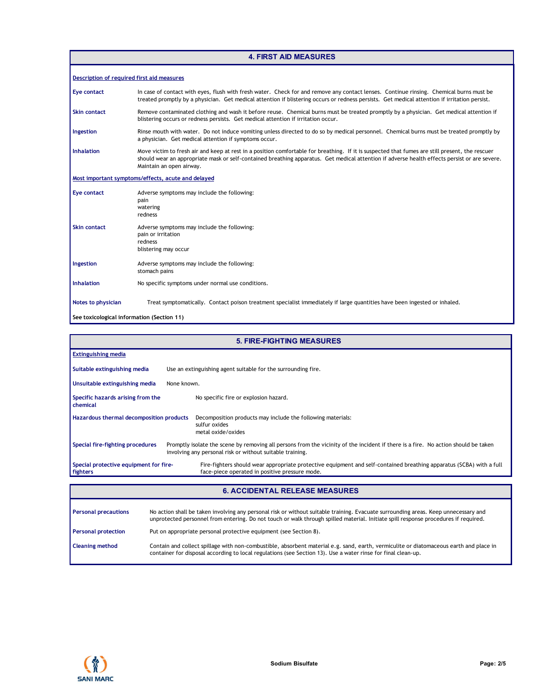| <b>4. FIRST AID MEASURES</b>               |                                                                                                                                                                                                                                                                                                                              |  |  |  |  |
|--------------------------------------------|------------------------------------------------------------------------------------------------------------------------------------------------------------------------------------------------------------------------------------------------------------------------------------------------------------------------------|--|--|--|--|
| Description of required first aid measures |                                                                                                                                                                                                                                                                                                                              |  |  |  |  |
| <b>Eye contact</b>                         | In case of contact with eyes, flush with fresh water. Check for and remove any contact lenses. Continue rinsing. Chemical burns must be<br>treated promptly by a physician. Get medical attention if blistering occurs or redness persists. Get medical attention if irritation persist.                                     |  |  |  |  |
| Skin contact                               | Remove contaminated clothing and wash it before reuse. Chemical burns must be treated promptly by a physician. Get medical attention if<br>blistering occurs or redness persists. Get medical attention if irritation occur.                                                                                                 |  |  |  |  |
| Ingestion                                  | Rinse mouth with water. Do not induce vomiting unless directed to do so by medical personnel. Chemical burns must be treated promptly by<br>a physician. Get medical attention if symptoms occur.                                                                                                                            |  |  |  |  |
| <b>Inhalation</b>                          | Move victim to fresh air and keep at rest in a position comfortable for breathing. If it is suspected that fumes are still present, the rescuer<br>should wear an appropriate mask or self-contained breathing apparatus. Get medical attention if adverse health effects persist or are severe.<br>Maintain an open airway. |  |  |  |  |
|                                            | Most important symptoms/effects, acute and delayed                                                                                                                                                                                                                                                                           |  |  |  |  |
| <b>Eye contact</b>                         | Adverse symptoms may include the following:<br>pain<br>watering<br>redness                                                                                                                                                                                                                                                   |  |  |  |  |
| <b>Skin contact</b>                        | Adverse symptoms may include the following:<br>pain or irritation<br>redness<br>blistering may occur                                                                                                                                                                                                                         |  |  |  |  |
| Ingestion                                  | Adverse symptoms may include the following:<br>stomach pains                                                                                                                                                                                                                                                                 |  |  |  |  |
| <b>Inhalation</b>                          | No specific symptoms under normal use conditions.                                                                                                                                                                                                                                                                            |  |  |  |  |
| Notes to physician                         | Treat symptomatically. Contact poison treatment specialist immediately if large quantities have been ingested or inhaled.                                                                                                                                                                                                    |  |  |  |  |
| See toxicological information (Section 11) |                                                                                                                                                                                                                                                                                                                              |  |  |  |  |

| <b>5. FIRE-FIGHTING MEASURES</b>                   |                                                                                                                                                                                                 |  |  |  |  |
|----------------------------------------------------|-------------------------------------------------------------------------------------------------------------------------------------------------------------------------------------------------|--|--|--|--|
| <b>Extinguishing media</b>                         |                                                                                                                                                                                                 |  |  |  |  |
| Suitable extinguishing media                       | Use an extinguishing agent suitable for the surrounding fire.                                                                                                                                   |  |  |  |  |
| Unsuitable extinguishing media                     | None known.                                                                                                                                                                                     |  |  |  |  |
| Specific hazards arising from the<br>chemical      | No specific fire or explosion hazard.                                                                                                                                                           |  |  |  |  |
| Hazardous thermal decomposition products           | Decomposition products may include the following materials:<br>sulfur oxides<br>metal oxide/oxides                                                                                              |  |  |  |  |
| Special fire-fighting procedures                   | Promptly isolate the scene by removing all persons from the vicinity of the incident if there is a fire. No action should be taken<br>involving any personal risk or without suitable training. |  |  |  |  |
| Special protective equipment for fire-<br>fighters | Fire-fighters should wear appropriate protective equipment and self-contained breathing apparatus (SCBA) with a full<br>face-piece operated in positive pressure mode.                          |  |  |  |  |
|                                                    | <b>6. ACCIDENTAL RELEASE MEASURES</b>                                                                                                                                                           |  |  |  |  |

| <b>6. ACCIDENTAL RELEASE MEASURES</b> |                                                                                                                                                                                                                                                                            |  |  |  |  |
|---------------------------------------|----------------------------------------------------------------------------------------------------------------------------------------------------------------------------------------------------------------------------------------------------------------------------|--|--|--|--|
| <b>Personal precautions</b>           | No action shall be taken involving any personal risk or without suitable training. Evacuate surrounding areas. Keep unnecessary and<br>unprotected personnel from entering. Do not touch or walk through spilled material. Initiate spill response procedures if required. |  |  |  |  |
| <b>Personal protection</b>            | Put on appropriate personal protective equipment (see Section 8).                                                                                                                                                                                                          |  |  |  |  |
| <b>Cleaning method</b>                | Contain and collect spillage with non-combustible, absorbent material e.g. sand, earth, vermiculite or diatomaceous earth and place in<br>container for disposal according to local regulations (see Section 13). Use a water rinse for final clean-up.                    |  |  |  |  |

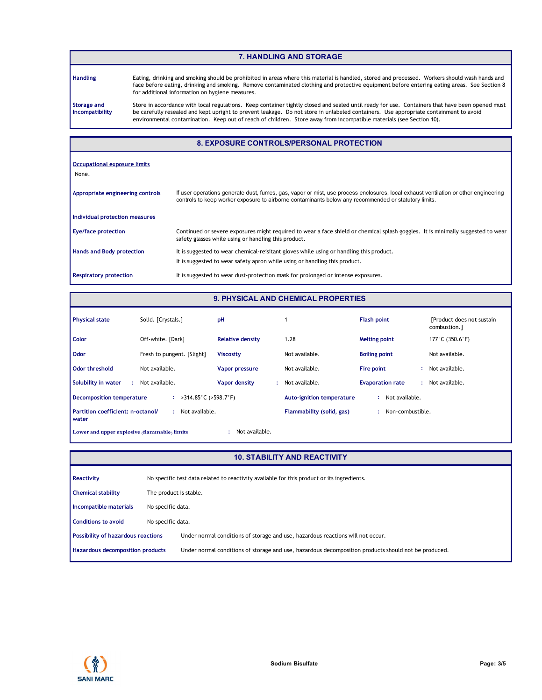### **7. HANDLING AND STORAGE**

**Handling**

Eating, drinking and smoking should be prohibited in areas where this material is handled, stored and processed. Workers should wash hands and face before eating, drinking and smoking. Remove contaminated clothing and protective equipment before entering eating areas. See Section 8 for additional information on hygiene measures.

**Storage and Incompatibility** Store in accordance with local regulations. Keep container tightly closed and sealed until ready for use. Containers that have been opened must be carefully resealed and kept upright to prevent leakage. Do not store in unlabeled containers. Use appropriate containment to avoid environmental contamination. Keep out of reach of children. Store away from incompatible materials (see Section 10).

#### **8. EXPOSURE CONTROLS/PERSONAL PROTECTION**

| <b>Occupational exposure limits</b><br>None. |                                                                                                                                                                                                                                             |
|----------------------------------------------|---------------------------------------------------------------------------------------------------------------------------------------------------------------------------------------------------------------------------------------------|
| Appropriate engineering controls             | If user operations generate dust, fumes, gas, vapor or mist, use process enclosures, local exhaust ventilation or other engineering<br>controls to keep worker exposure to airborne contaminants below any recommended or statutory limits. |
| Individual protection measures               |                                                                                                                                                                                                                                             |
| Eye/face protection                          | Continued or severe exposures might required to wear a face shield or chemical splash goggles. It is minimally suggested to wear<br>safety glasses while using or handling this product.                                                    |
| Hands and Body protection                    | It is suggested to wear chemical-reisitant gloves while using or handling this product.<br>It is suggested to wear safety apron while using or handling this product.                                                                       |
| <b>Respiratory protection</b>                | It is suggested to wear dust-protection mask for prolonged or intense exposures.                                                                                                                                                            |

# **9. PHYSICAL AND CHEMICAL PROPERTIES**

| <b>Physical state</b>                                          | Solid. [Crystals.]                          | pH                         |                                  | <b>Flash point</b>            | [Product does not sustain]<br>combustion.] |  |
|----------------------------------------------------------------|---------------------------------------------|----------------------------|----------------------------------|-------------------------------|--------------------------------------------|--|
| <b>Color</b>                                                   | Off-white. [Dark]                           | <b>Relative density</b>    | 1.28                             | <b>Melting point</b>          | 177°C (350.6°F)                            |  |
| Odor                                                           | Fresh to pungent. [Slight]                  | <b>Viscosity</b>           | Not available.                   | <b>Boiling point</b>          | Not available.                             |  |
| <b>Odor threshold</b>                                          | Not available.                              | Vapor pressure             | Not available.                   | Fire point                    | Not available.                             |  |
| Solubility in water                                            | Not available.                              | <b>Vapor density</b><br>÷. | Not available.                   | <b>Evaporation rate</b><br>t. | Not available.                             |  |
| <b>Decomposition temperature</b>                               | : $>314.85^{\circ}$ C ( $>598.7^{\circ}$ F) |                            | <b>Auto-ignition temperature</b> | Not available.                |                                            |  |
| Partition coefficient: n-octanol/<br>water                     | Not available.                              |                            | Flammability (solid, gas)        | Non-combustible.<br>$\bullet$ |                                            |  |
| Not available.<br>Lower and upper explosive (flammable) limits |                                             |                            |                                  |                               |                                            |  |

#### **10. STABILITY AND REACTIVITY**

| Reactivity                                |                   | No specific test data related to reactivity available for this product or its ingredients.           |  |  |  |  |
|-------------------------------------------|-------------------|------------------------------------------------------------------------------------------------------|--|--|--|--|
| <b>Chemical stability</b>                 |                   | The product is stable.                                                                               |  |  |  |  |
| Incompatible materials                    |                   | No specific data.                                                                                    |  |  |  |  |
| <b>Conditions to avoid</b>                | No specific data. |                                                                                                      |  |  |  |  |
| <b>Possibility of hazardous reactions</b> |                   | Under normal conditions of storage and use, hazardous reactions will not occur.                      |  |  |  |  |
| Hazardous decomposition products          |                   | Under normal conditions of storage and use, hazardous decomposition products should not be produced. |  |  |  |  |

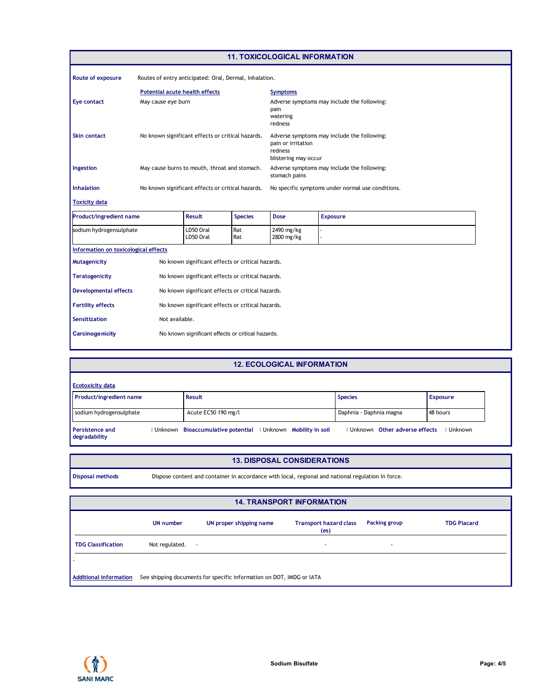| <b>11. TOXICOLOGICAL INFORMATION</b> |                                                   |                                                        |                                                                                                      |                                                                            |                                                   |  |
|--------------------------------------|---------------------------------------------------|--------------------------------------------------------|------------------------------------------------------------------------------------------------------|----------------------------------------------------------------------------|---------------------------------------------------|--|
| Route of exposure                    |                                                   | Routes of entry anticipated: Oral, Dermal, Inhalation. |                                                                                                      |                                                                            |                                                   |  |
|                                      | <b>Potential acute health effects</b>             |                                                        |                                                                                                      | <b>Symptoms</b>                                                            |                                                   |  |
| <b>Eye contact</b>                   | May cause eye burn                                |                                                        |                                                                                                      | Adverse symptoms may include the following:<br>pain<br>watering<br>redness |                                                   |  |
| <b>Skin contact</b>                  | No known significant effects or critical hazards. |                                                        | Adverse symptoms may include the following:<br>pain or irritation<br>redness<br>blistering may occur |                                                                            |                                                   |  |
| Ingestion                            |                                                   | May cause burns to mouth, throat and stomach.          |                                                                                                      | Adverse symptoms may include the following:<br>stomach pains               |                                                   |  |
| <b>Inhalation</b>                    |                                                   | No known significant effects or critical hazards.      |                                                                                                      |                                                                            | No specific symptoms under normal use conditions. |  |
| <b>Toxicity data</b>                 |                                                   |                                                        |                                                                                                      |                                                                            |                                                   |  |
| <b>Product/ingredient name</b>       |                                                   | <b>Result</b>                                          | <b>Species</b>                                                                                       | <b>Dose</b>                                                                | <b>Exposure</b>                                   |  |
| sodium hydrogensulphate              |                                                   | LD50 Oral<br>LD50 Oral                                 | Rat<br>Rat                                                                                           | 2490 mg/kg<br>2800 mg/kg                                                   |                                                   |  |
| Information on toxicological effects |                                                   |                                                        |                                                                                                      |                                                                            |                                                   |  |
| <b>Mutagenicity</b>                  |                                                   | No known significant effects or critical hazards.      |                                                                                                      |                                                                            |                                                   |  |
| <b>Teratogenicity</b>                |                                                   | No known significant effects or critical hazards.      |                                                                                                      |                                                                            |                                                   |  |
| <b>Developmental effects</b>         | No known significant effects or critical hazards. |                                                        |                                                                                                      |                                                                            |                                                   |  |
| <b>Fertility effects</b>             | No known significant effects or critical hazards. |                                                        |                                                                                                      |                                                                            |                                                   |  |
| Sensitization                        |                                                   | Not available.                                         |                                                                                                      |                                                                            |                                                   |  |
| <b>Carcinogenicity</b>               |                                                   | No known significant effects or critical hazards.      |                                                                                                      |                                                                            |                                                   |  |

# **12. ECOLOGICAL INFORMATION**

| <b>Ecotoxicity data</b>                 |  |                                                                |  |                         |                                 |                 |  |
|-----------------------------------------|--|----------------------------------------------------------------|--|-------------------------|---------------------------------|-----------------|--|
| Product/ingredient name                 |  | <b>Result</b>                                                  |  | <b>Species</b>          |                                 | <b>Exposure</b> |  |
| sodium hydrogensulphate                 |  | Acute EC50 190 mg/l                                            |  | Daphnia - Daphnia magna |                                 | 48 hours        |  |
| <b>Persistence and</b><br>degradability |  | : Unknown Bioaccumulative potential : Unknown Mobility in soil |  |                         | : Unknown Other adverse effects | : Unknown       |  |

# **13. DISPOSAL CONSIDERATIONS**

| isposal methods | Dispose content and container in accord |  |
|-----------------|-----------------------------------------|--|

**Disposal methods** Dispose content and container in accordance with local, regional and national regulation in force.

| <b>14. TRANSPORT INFORMATION</b> |                                                                                                                                          |  |  |                          |  |  |  |  |  |
|----------------------------------|------------------------------------------------------------------------------------------------------------------------------------------|--|--|--------------------------|--|--|--|--|--|
|                                  | <b>UN</b> number<br><b>TDG Placard</b><br>UN proper shipping name<br><b>Transport hazard class</b><br>Packing group<br>(e <sub>S</sub> ) |  |  |                          |  |  |  |  |  |
| <b>TDG Classification</b>        | Not regulated.<br>$\sim$                                                                                                                 |  |  | $\overline{\phantom{a}}$ |  |  |  |  |  |
|                                  |                                                                                                                                          |  |  |                          |  |  |  |  |  |
| <b>Additional information</b>    | See shipping documents for specific information on DOT, IMDG or IATA                                                                     |  |  |                          |  |  |  |  |  |